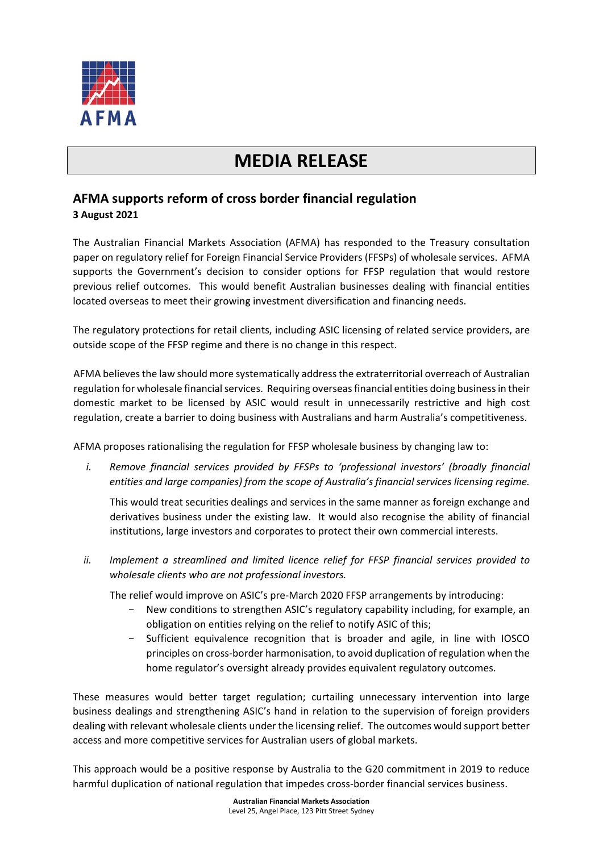

## **MEDIA RELEASE**

## **AFMA supports reform of cross border financial regulation 3 August 2021**

The Australian Financial Markets Association (AFMA) has responded to the Treasury consultation paper on regulatory relief for Foreign Financial Service Providers (FFSPs) of wholesale services. AFMA supports the Government's decision to consider options for FFSP regulation that would restore previous relief outcomes. This would benefit Australian businesses dealing with financial entities located overseas to meet their growing investment diversification and financing needs.

The regulatory protections for retail clients, including ASIC licensing of related service providers, are outside scope of the FFSP regime and there is no change in this respect.

AFMA believes the law should more systematically address the extraterritorial overreach of Australian regulation for wholesale financial services. Requiring overseas financial entities doing business in their domestic market to be licensed by ASIC would result in unnecessarily restrictive and high cost regulation, create a barrier to doing business with Australians and harm Australia's competitiveness.

AFMA proposes rationalising the regulation for FFSP wholesale business by changing law to:

*i. Remove financial services provided by FFSPs to 'professional investors' (broadly financial entities and large companies) from the scope of Australia's financial services licensing regime.*

This would treat securities dealings and services in the same manner as foreign exchange and derivatives business under the existing law. It would also recognise the ability of financial institutions, large investors and corporates to protect their own commercial interests.

*ii. Implement a streamlined and limited licence relief for FFSP financial services provided to wholesale clients who are not professional investors.*

The relief would improve on ASIC's pre-March 2020 FFSP arrangements by introducing:

- New conditions to strengthen ASIC's regulatory capability including, for example, an obligation on entities relying on the relief to notify ASIC of this;
- Sufficient equivalence recognition that is broader and agile, in line with IOSCO principles on cross-border harmonisation, to avoid duplication of regulation when the home regulator's oversight already provides equivalent regulatory outcomes.

These measures would better target regulation; curtailing unnecessary intervention into large business dealings and strengthening ASIC's hand in relation to the supervision of foreign providers dealing with relevant wholesale clients under the licensing relief. The outcomes would support better access and more competitive services for Australian users of global markets.

This approach would be a positive response by Australia to the G20 commitment in 2019 to reduce harmful duplication of national regulation that impedes cross-border financial services business.